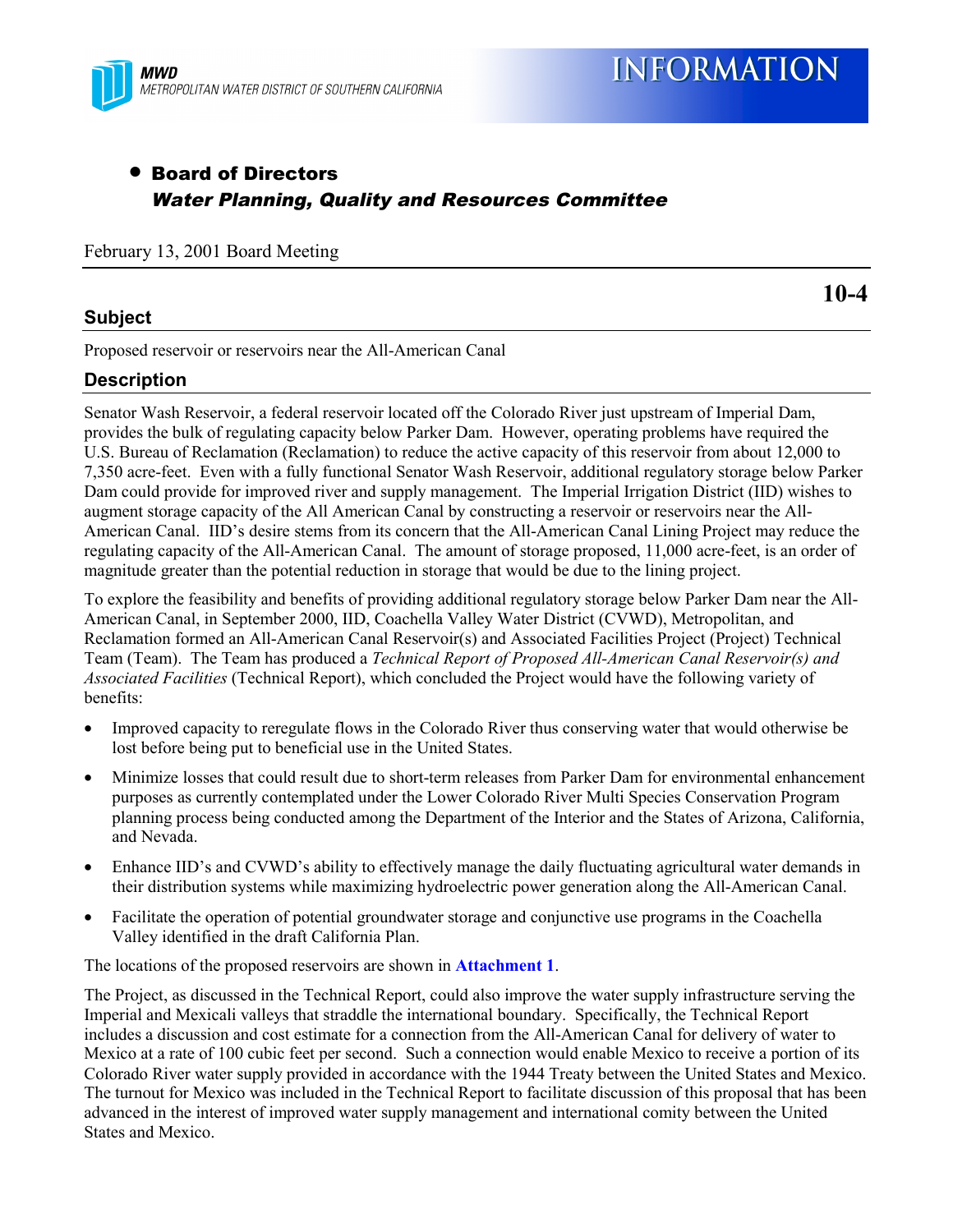

# • Board of Directors Water Planning, Quality and Resources Committee

February 13, 2001 Board Meeting

### **Subject**

**10-4**

Proposed reservoir or reservoirs near the All-American Canal

## **Description**

Senator Wash Reservoir, a federal reservoir located off the Colorado River just upstream of Imperial Dam, provides the bulk of regulating capacity below Parker Dam. However, operating problems have required the U.S. Bureau of Reclamation (Reclamation) to reduce the active capacity of this reservoir from about 12,000 to 7,350 acre-feet. Even with a fully functional Senator Wash Reservoir, additional regulatory storage below Parker Dam could provide for improved river and supply management. The Imperial Irrigation District (IID) wishes to augment storage capacity of the All American Canal by constructing a reservoir or reservoirs near the All-American Canal. IID's desire stems from its concern that the All-American Canal Lining Project may reduce the regulating capacity of the All-American Canal. The amount of storage proposed, 11,000 acre-feet, is an order of magnitude greater than the potential reduction in storage that would be due to the lining project.

To explore the feasibility and benefits of providing additional regulatory storage below Parker Dam near the All-American Canal, in September 2000, IID, Coachella Valley Water District (CVWD), Metropolitan, and Reclamation formed an All-American Canal Reservoir(s) and Associated Facilities Project (Project) Technical Team (Team). The Team has produced a *Technical Report of Proposed All-American Canal Reservoir(s) and Associated Facilities* (Technical Report), which concluded the Project would have the following variety of benefits:

- Improved capacity to reregulate flows in the Colorado River thus conserving water that would otherwise be lost before being put to beneficial use in the United States.
- Minimize losses that could result due to short-term releases from Parker Dam for environmental enhancement purposes as currently contemplated under the Lower Colorado River Multi Species Conservation Program planning process being conducted among the Department of the Interior and the States of Arizona, California, and Nevada.
- Enhance IID's and CVWD's ability to effectively manage the daily fluctuating agricultural water demands in their distribution systems while maximizing hydroelectric power generation along the All-American Canal.
- Facilitate the operation of potential groundwater storage and conjunctive use programs in the Coachella Valley identified in the draft California Plan.

The locations of the proposed reservoirs are shown in **Attachment 1**.

The Project, as discussed in the Technical Report, could also improve the water supply infrastructure serving the Imperial and Mexicali valleys that straddle the international boundary. Specifically, the Technical Report includes a discussion and cost estimate for a connection from the All-American Canal for delivery of water to Mexico at a rate of 100 cubic feet per second. Such a connection would enable Mexico to receive a portion of its Colorado River water supply provided in accordance with the 1944 Treaty between the United States and Mexico. The turnout for Mexico was included in the Technical Report to facilitate discussion of this proposal that has been advanced in the interest of improved water supply management and international comity between the United States and Mexico.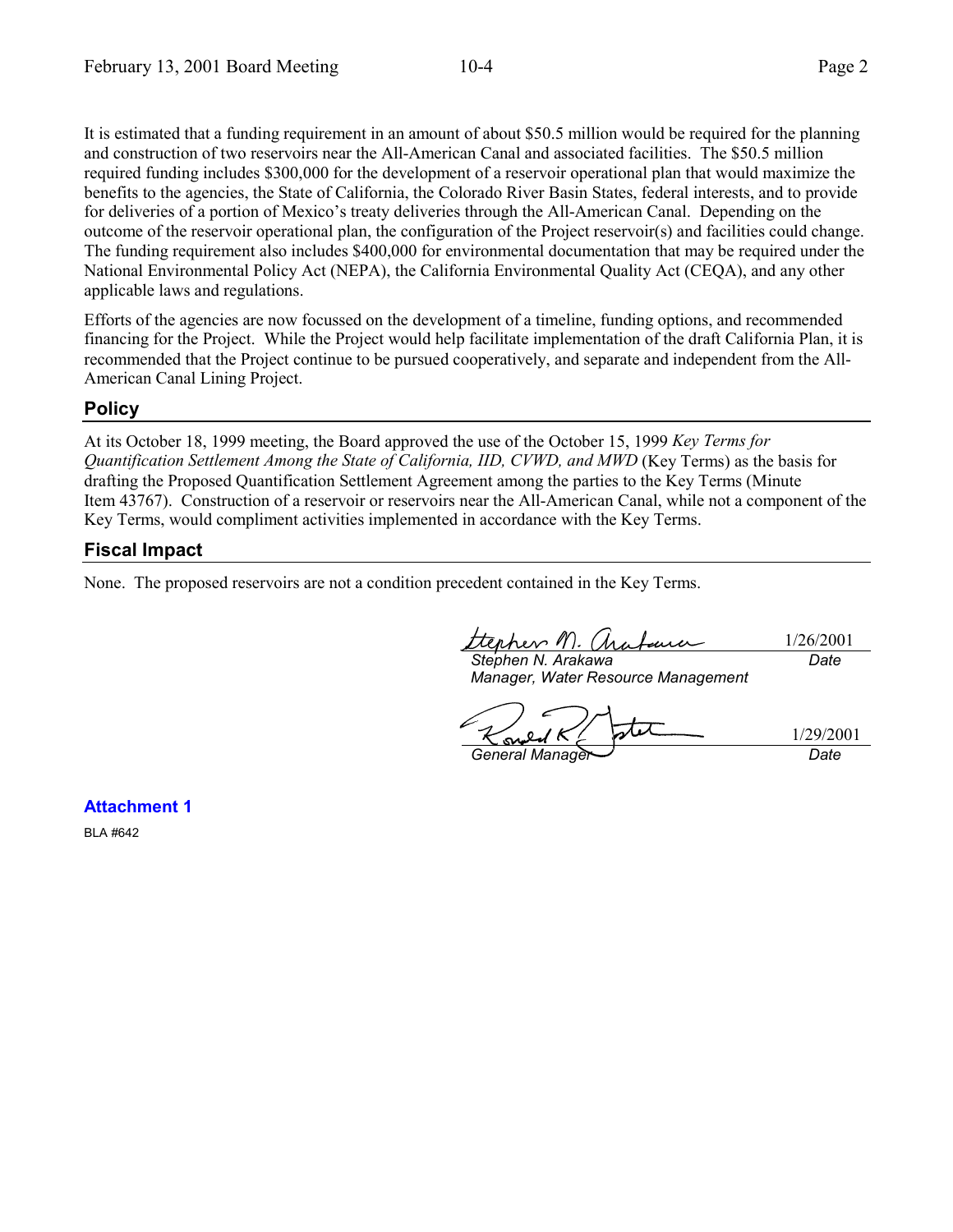It is estimated that a funding requirement in an amount of about \$50.5 million would be required for the planning and construction of two reservoirs near the All-American Canal and associated facilities. The \$50.5 million required funding includes \$300,000 for the development of a reservoir operational plan that would maximize the benefits to the agencies, the State of California, the Colorado River Basin States, federal interests, and to provide for deliveries of a portion of Mexico's treaty deliveries through the All-American Canal. Depending on the outcome of the reservoir operational plan, the configuration of the Project reservoir(s) and facilities could change. The funding requirement also includes \$400,000 for environmental documentation that may be required under the National Environmental Policy Act (NEPA), the California Environmental Quality Act (CEQA), and any other applicable laws and regulations.

Efforts of the agencies are now focussed on the development of a timeline, funding options, and recommended financing for the Project. While the Project would help facilitate implementation of the draft California Plan, it is recommended that the Project continue to be pursued cooperatively, and separate and independent from the All-American Canal Lining Project.

#### **Policy**

At its October 18, 1999 meeting, the Board approved the use of the October 15, 1999 *Key Terms for Quantification Settlement Among the State of California, IID, CVWD, and MWD* (Key Terms) as the basis for drafting the Proposed Quantification Settlement Agreement among the parties to the Key Terms (Minute Item 43767). Construction of a reservoir or reservoirs near the All-American Canal, while not a component of the Key Terms, would compliment activities implemented in accordance with the Key Terms.

#### **Fiscal Impact**

None. The proposed reservoirs are not a condition precedent contained in the Key Terms.

ttephen M. Chabaua 1/26/2001 *Stephen N. Arakawa Date*

*Manager, Water Resource Management*

1/29/2001 *General Manager Date*

**Attachment 1**

BLA #642